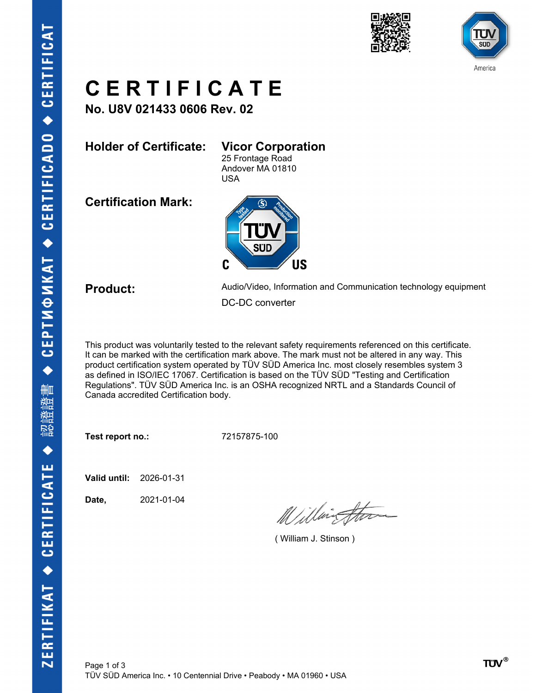



## **C E R T I F I C A T E**

**No. U8V 021433 0606 Rev. 02**

**Holder of Certificate: Vicor Corporation**

25 Frontage Road Andover MA 01810 USA

**Certification Mark:**



**Product:** Audio/Video, Information and Communication technology equipment DC-DC converter

This product was voluntarily tested to the relevant safety requirements referenced on this certificate. It can be marked with the certification mark above. The mark must not be altered in any way. This product certification system operated by TÜV SÜD America Inc. most closely resembles system 3 as defined in ISO/IEC 17067. Certification is based on the TÜV SÜD "Testing and Certification Regulations". TÜV SÜD America Inc. is an OSHA recognized NRTL and a Standards Council of Canada accredited Certification body.

**Test report no.:** 72157875-100

**Valid until:** 2026-01-31

**Date,** 2021-01-04

Willington

( William J. Stinson )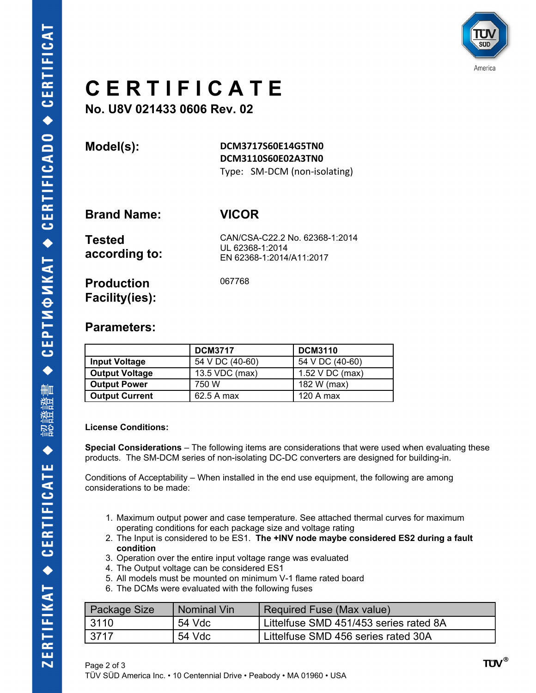

## **C E R T I F I C A T E**

**No. U8V 021433 0606 Rev. 02**

**Model(s): DCM3717S60E14G5TN0 DCM3110S60E02A3TN0** Type: SM-DCM (non-isolating)

**Brand Name: VICOR**

067768

| <b>Tested</b> | CAN/CSA-C22.2 No. 62368-1:2014 |
|---------------|--------------------------------|
|               | UL 62368-1:2014                |
| according to: | EN 62368-1:2014/A11:2017       |

**Production Facility(ies):**

### **Parameters:**

|                       | <b>DCM3717</b>  | <b>DCM3110</b>  |
|-----------------------|-----------------|-----------------|
| <b>Input Voltage</b>  | 54 V DC (40-60) | 54 V DC (40-60) |
| <b>Output Voltage</b> | 13.5 VDC (max)  | 1.52 V DC (max) |
| <b>Output Power</b>   | 750 W           | 182 W (max)     |
| <b>Output Current</b> | 62.5 A max      | 120 A max       |

### **License Conditions:**

**Special Considerations** – The following items are considerations that were used when evaluating these products. The SM-DCM series of non-isolating DC-DC converters are designed for building-in.

Conditions of Acceptability – When installed in the end use equipment, the following are among considerations to be made:

- 1. Maximum output power and case temperature. See attached thermal curves for maximum operating conditions for each package size and voltage rating
- 2. The Input is considered to be ES1. **The +INV node maybe considered ES2 during a fault condition**
- 3. Operation over the entire input voltage range was evaluated
- 4. The Output voltage can be considered ES1
- 5. All models must be mounted on minimum V-1 flame rated board
- 6. The DCMs were evaluated with the following fuses

| Package Size | Nominal Vin | Required Fuse (Max value)              |
|--------------|-------------|----------------------------------------|
| 3110         | 54 Vdc      | Littelfuse SMD 451/453 series rated 8A |
| 3717         | 54 Vdc      | Littelfuse SMD 456 series rated 30A    |